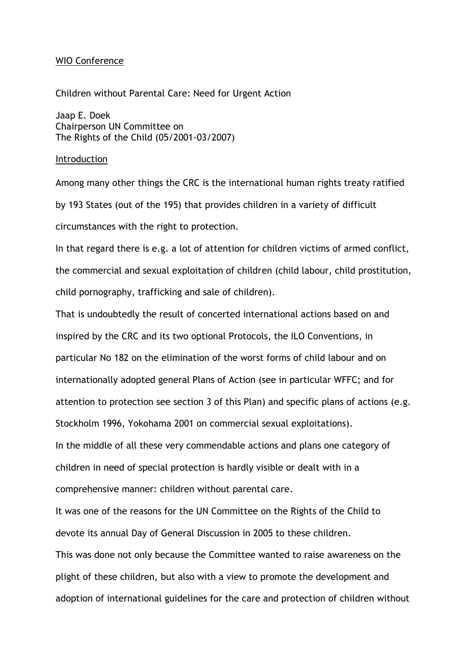# WIO Conference

Children without Parental Care: Need for Urgent Action

Jaap E. Doek Chairperson UN Committee on The Rights of the Child (05/2001-03/2007)

## Introduction

Among many other things the CRC is the international human rights treaty ratified by 193 States (out of the 195) that provides children in a variety of difficult circumstances with the right to protection.

In that regard there is e.g. a lot of attention for children victims of armed conflict, the commercial and sexual exploitation of children (child labour, child prostitution, child pornography, trafficking and sale of children).

That is undoubtedly the result of concerted international actions based on and inspired by the CRC and its two optional Protocols, the ILO Conventions, in particular No 182 on the elimination of the worst forms of child labour and on internationally adopted general Plans of Action (see in particular WFFC; and for attention to protection see section 3 of this Plan) and specific plans of actions (e.g. Stockholm 1996, Yokohama 2001 on commercial sexual exploitations). In the middle of all these very commendable actions and plans one category of children in need of special protection is hardly visible or dealt with in a comprehensive manner: children without parental care.

It was one of the reasons for the UN Committee on the Rights of the Child to devote its annual Day of General Discussion in 2005 to these children.

This was done not only because the Committee wanted to raise awareness on the plight of these children, but also with a view to promote the development and adoption of international guidelines for the care and protection of children without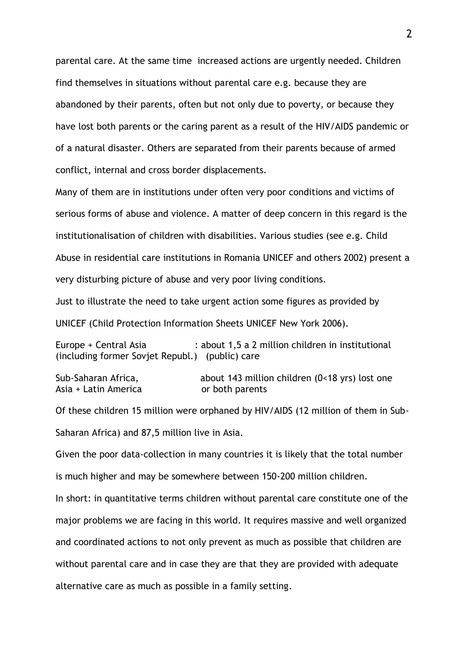parental care. At the same time increased actions are urgently needed. Children find themselves in situations without parental care e.g. because they are abandoned by their parents, often but not only due to poverty, or because they have lost both parents or the caring parent as a result of the HIV/AIDS pandemic or of a natural disaster. Others are separated from their parents because of armed conflict, internal and cross border displacements.

Many of them are in institutions under often very poor conditions and victims of serious forms of abuse and violence. A matter of deep concern in this regard is the institutionalisation of children with disabilities. Various studies (see e.g. Child Abuse in residential care institutions in Romania UNICEF and others 2002) present a very disturbing picture of abuse and very poor living conditions.

Just to illustrate the need to take urgent action some figures as provided by UNICEF (Child Protection Information Sheets UNICEF New York 2006).

Europe + Central Asia : about 1,5 a 2 million children in institutional (including former Sovjet Republ.) (public) care

Sub-Saharan Africa, about 143 million children (0<18 yrs) lost one Asia + Latin America **both parents** 

Of these children 15 million were orphaned by HIV/AIDS (12 million of them in Sub-Saharan Africa) and 87,5 million live in Asia.

Given the poor data-collection in many countries it is likely that the total number is much higher and may be somewhere between 150-200 million children.

In short: in quantitative terms children without parental care constitute one of the major problems we are facing in this world. It requires massive and well organized and coordinated actions to not only prevent as much as possible that children are without parental care and in case they are that they are provided with adequate alternative care as much as possible in a family setting.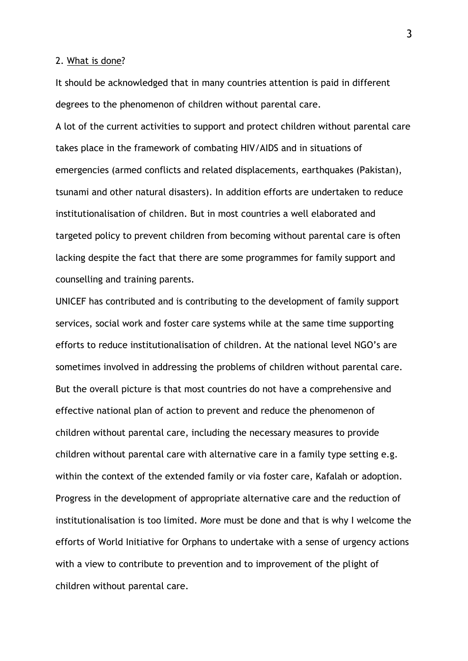### 2. What is done?

It should be acknowledged that in many countries attention is paid in different degrees to the phenomenon of children without parental care.

A lot of the current activities to support and protect children without parental care takes place in the framework of combating HIV/AIDS and in situations of emergencies (armed conflicts and related displacements, earthquakes (Pakistan), tsunami and other natural disasters). In addition efforts are undertaken to reduce institutionalisation of children. But in most countries a well elaborated and targeted policy to prevent children from becoming without parental care is often lacking despite the fact that there are some programmes for family support and counselling and training parents.

UNICEF has contributed and is contributing to the development of family support services, social work and foster care systems while at the same time supporting efforts to reduce institutionalisation of children. At the national level NGO's are sometimes involved in addressing the problems of children without parental care. But the overall picture is that most countries do not have a comprehensive and effective national plan of action to prevent and reduce the phenomenon of children without parental care, including the necessary measures to provide children without parental care with alternative care in a family type setting e.g. within the context of the extended family or via foster care, Kafalah or adoption. Progress in the development of appropriate alternative care and the reduction of institutionalisation is too limited. More must be done and that is why I welcome the efforts of World Initiative for Orphans to undertake with a sense of urgency actions with a view to contribute to prevention and to improvement of the plight of children without parental care.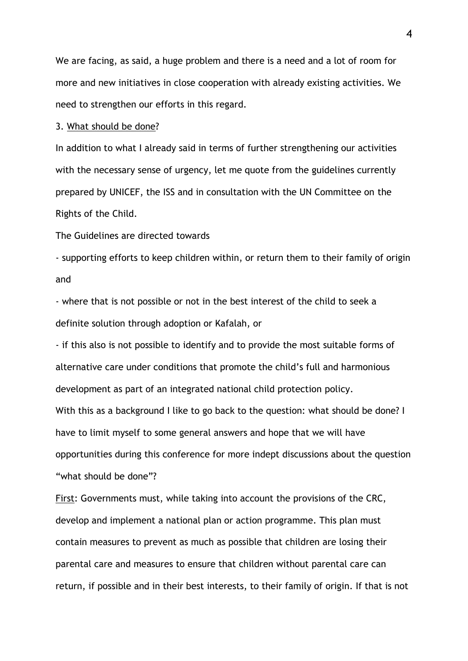We are facing, as said, a huge problem and there is a need and a lot of room for more and new initiatives in close cooperation with already existing activities. We need to strengthen our efforts in this regard.

## 3. What should be done?

In addition to what I already said in terms of further strengthening our activities with the necessary sense of urgency, let me quote from the guidelines currently prepared by UNICEF, the ISS and in consultation with the UN Committee on the Rights of the Child.

The Guidelines are directed towards

- supporting efforts to keep children within, or return them to their family of origin and

- where that is not possible or not in the best interest of the child to seek a definite solution through adoption or Kafalah, or

- if this also is not possible to identify and to provide the most suitable forms of alternative care under conditions that promote the child's full and harmonious development as part of an integrated national child protection policy.

With this as a background I like to go back to the question: what should be done? I have to limit myself to some general answers and hope that we will have opportunities during this conference for more indept discussions about the question "what should be done"?

First: Governments must, while taking into account the provisions of the CRC, develop and implement a national plan or action programme. This plan must contain measures to prevent as much as possible that children are losing their parental care and measures to ensure that children without parental care can return, if possible and in their best interests, to their family of origin. If that is not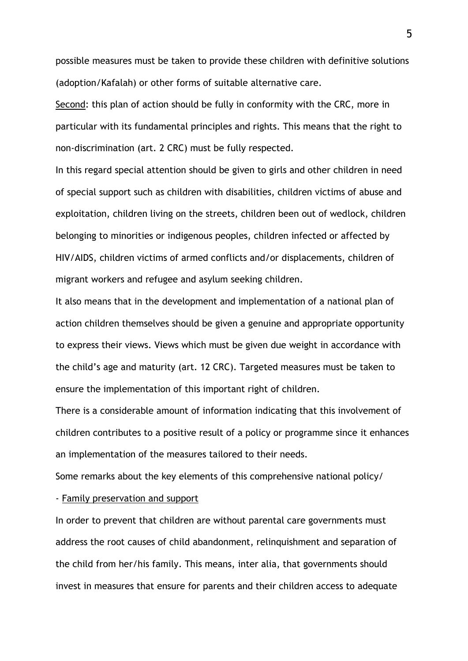possible measures must be taken to provide these children with definitive solutions (adoption/Kafalah) or other forms of suitable alternative care.

Second: this plan of action should be fully in conformity with the CRC, more in particular with its fundamental principles and rights. This means that the right to non-discrimination (art. 2 CRC) must be fully respected.

In this regard special attention should be given to girls and other children in need of special support such as children with disabilities, children victims of abuse and exploitation, children living on the streets, children been out of wedlock, children belonging to minorities or indigenous peoples, children infected or affected by HIV/AIDS, children victims of armed conflicts and/or displacements, children of migrant workers and refugee and asylum seeking children.

It also means that in the development and implementation of a national plan of action children themselves should be given a genuine and appropriate opportunity to express their views. Views which must be given due weight in accordance with the child's age and maturity (art. 12 CRC). Targeted measures must be taken to ensure the implementation of this important right of children.

There is a considerable amount of information indicating that this involvement of children contributes to a positive result of a policy or programme since it enhances an implementation of the measures tailored to their needs.

Some remarks about the key elements of this comprehensive national policy/

# - Family preservation and support

In order to prevent that children are without parental care governments must address the root causes of child abandonment, relinquishment and separation of the child from her/his family. This means, inter alia, that governments should invest in measures that ensure for parents and their children access to adequate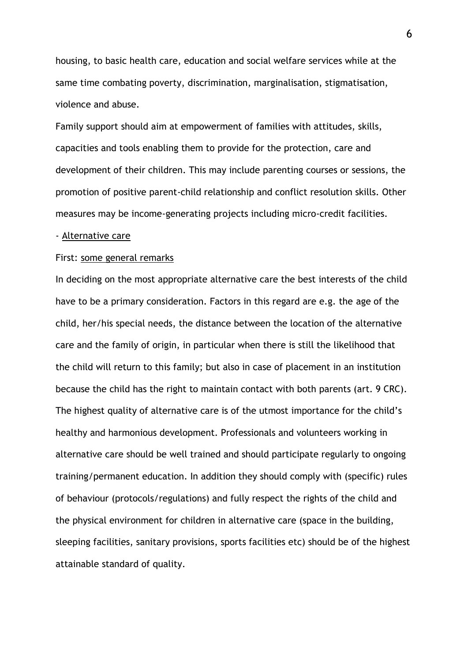housing, to basic health care, education and social welfare services while at the same time combating poverty, discrimination, marginalisation, stigmatisation, violence and abuse.

Family support should aim at empowerment of families with attitudes, skills, capacities and tools enabling them to provide for the protection, care and development of their children. This may include parenting courses or sessions, the promotion of positive parent-child relationship and conflict resolution skills. Other measures may be income-generating projects including micro-credit facilities.

#### - Alternative care

#### First: some general remarks

In deciding on the most appropriate alternative care the best interests of the child have to be a primary consideration. Factors in this regard are e.g. the age of the child, her/his special needs, the distance between the location of the alternative care and the family of origin, in particular when there is still the likelihood that the child will return to this family; but also in case of placement in an institution because the child has the right to maintain contact with both parents (art. 9 CRC). The highest quality of alternative care is of the utmost importance for the child's healthy and harmonious development. Professionals and volunteers working in alternative care should be well trained and should participate regularly to ongoing training/permanent education. In addition they should comply with (specific) rules of behaviour (protocols/regulations) and fully respect the rights of the child and the physical environment for children in alternative care (space in the building, sleeping facilities, sanitary provisions, sports facilities etc) should be of the highest attainable standard of quality.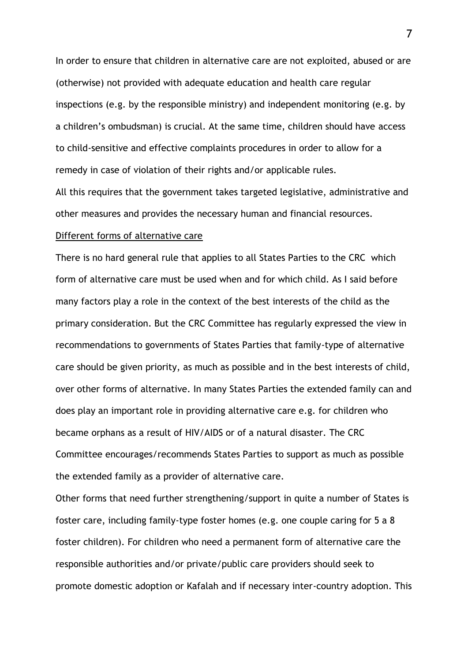In order to ensure that children in alternative care are not exploited, abused or are (otherwise) not provided with adequate education and health care regular inspections (e.g. by the responsible ministry) and independent monitoring (e.g. by a children's ombudsman) is crucial. At the same time, children should have access to child-sensitive and effective complaints procedures in order to allow for a remedy in case of violation of their rights and/or applicable rules.

All this requires that the government takes targeted legislative, administrative and other measures and provides the necessary human and financial resources.

## Different forms of alternative care

There is no hard general rule that applies to all States Parties to the CRC which form of alternative care must be used when and for which child. As I said before many factors play a role in the context of the best interests of the child as the primary consideration. But the CRC Committee has regularly expressed the view in recommendations to governments of States Parties that family-type of alternative care should be given priority, as much as possible and in the best interests of child, over other forms of alternative. In many States Parties the extended family can and does play an important role in providing alternative care e.g. for children who became orphans as a result of HIV/AIDS or of a natural disaster. The CRC Committee encourages/recommends States Parties to support as much as possible the extended family as a provider of alternative care.

Other forms that need further strengthening/support in quite a number of States is foster care, including family-type foster homes (e.g. one couple caring for 5 a 8 foster children). For children who need a permanent form of alternative care the responsible authorities and/or private/public care providers should seek to promote domestic adoption or Kafalah and if necessary inter-country adoption. This